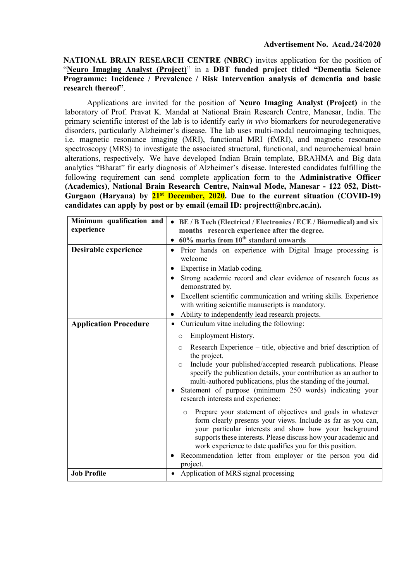#### NATIONAL BRAIN RESEARCH CENTRE (NBRC) invites application for the position of "Neuro Imaging Analyst (Project)" in a DBT funded project titled "Dementia Science Programme: Incidence / Prevalence / Risk Intervention analysis of dementia and basic research thereof".

Applications are invited for the position of Neuro Imaging Analyst (Project) in the laboratory of Prof. Pravat K. Mandal at National Brain Research Centre, Manesar, India. The primary scientific interest of the lab is to identify early *in vivo* biomarkers for neurodegenerative disorders, particularly Alzheimer's disease. The lab uses multi-modal neuroimaging techniques, i.e. magnetic resonance imaging (MRI), functional MRI (fMRI), and magnetic resonance spectroscopy (MRS) to investigate the associated structural, functional, and neurochemical brain alterations, respectively. We have developed Indian Brain template, BRAHMA and Big data analytics "Bharat" fir early diagnosis of Alzheimer's disease. Interested candidates fulfilling the following requirement can send complete application form to the Administrative Officer (Academics), National Brain Research Centre, Nainwal Mode, Manesar - 122 052, Distt-Gurgaon (Haryana) by  $21^{st}$  December, 2020. Due to the current situation (COVID-19) candidates can apply by post or by email (email ID: projrectt@nbrc.ac.in).

| Minimum qualification and<br>experience | • BE / B Tech (Electrical / Electronics / ECE / Biomedical) and six<br>months research experience after the degree.                                                                                                                                                                                                                                                                                                                                                                                      |  |  |  |  |  |
|-----------------------------------------|----------------------------------------------------------------------------------------------------------------------------------------------------------------------------------------------------------------------------------------------------------------------------------------------------------------------------------------------------------------------------------------------------------------------------------------------------------------------------------------------------------|--|--|--|--|--|
|                                         | $60\%$ marks from $10th$ standard onwards                                                                                                                                                                                                                                                                                                                                                                                                                                                                |  |  |  |  |  |
| Desirable experience                    | Prior hands on experience with Digital Image processing is<br>$\bullet$<br>welcome<br>Expertise in Matlab coding.<br>Strong academic record and clear evidence of research focus as<br>demonstrated by.<br>Excellent scientific communication and writing skills. Experience<br>with writing scientific manuscripts is mandatory.<br>Ability to independently lead research projects.<br>$\bullet$                                                                                                       |  |  |  |  |  |
| <b>Application Procedure</b>            | Curriculum vitae including the following:<br>$\bullet$<br>Employment History.<br>O<br>Research Experience – title, objective and brief description of<br>$\circ$<br>the project.<br>Include your published/accepted research publications. Please<br>$\circ$<br>specify the publication details, your contribution as an author to<br>multi-authored publications, plus the standing of the journal.                                                                                                     |  |  |  |  |  |
|                                         | Statement of purpose (minimum 250 words) indicating your<br>research interests and experience:<br>Prepare your statement of objectives and goals in whatever<br>$\circ$<br>form clearly presents your views. Include as far as you can,<br>your particular interests and show how your background<br>supports these interests. Please discuss how your academic and<br>work experience to date qualifies you for this position.<br>Recommendation letter from employer or the person you did<br>project. |  |  |  |  |  |
| <b>Job Profile</b>                      | Application of MRS signal processing                                                                                                                                                                                                                                                                                                                                                                                                                                                                     |  |  |  |  |  |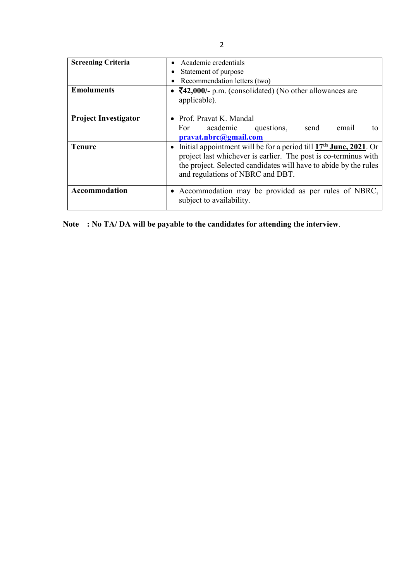| <b>Screening Criteria</b><br><b>Emoluments</b> | Academic credentials<br>Statement of purpose<br>Recommendation letters (two)<br>• $\overline{5}42,000/$ - p.m. (consolidated) (No other allowances are                                                                                                   |  |  |  |  |  |
|------------------------------------------------|----------------------------------------------------------------------------------------------------------------------------------------------------------------------------------------------------------------------------------------------------------|--|--|--|--|--|
|                                                | applicable).                                                                                                                                                                                                                                             |  |  |  |  |  |
| <b>Project Investigator</b>                    | • Prof. Pravat K. Mandal<br>For academic<br>questions,<br>send<br>email<br>to<br>pravat.nbrc@gmail.com                                                                                                                                                   |  |  |  |  |  |
| <b>Tenure</b>                                  | Initial appointment will be for a period till 17 <sup>th</sup> June, 2021. Or<br>project last whichever is earlier. The post is co-terminus with<br>the project. Selected candidates will have to abide by the rules<br>and regulations of NBRC and DBT. |  |  |  |  |  |
| Accommodation                                  | • Accommodation may be provided as per rules of NBRC,<br>subject to availability.                                                                                                                                                                        |  |  |  |  |  |

Note : No TA/ DA will be payable to the candidates for attending the interview.